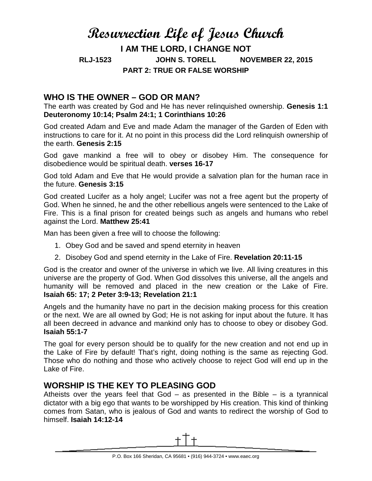# **Resurrection Life of Jesus Church I AM THE LORD, I CHANGE NOT RLJ-1523 JOHN S. TORELL NOVEMBER 22, 2015 PART 2: TRUE OR FALSE WORSHIP**

## **WHO IS THE OWNER – GOD OR MAN?**

The earth was created by God and He has never relinquished ownership. **Genesis 1:1 Deuteronomy 10:14; Psalm 24:1; 1 Corinthians 10:26**

God created Adam and Eve and made Adam the manager of the Garden of Eden with instructions to care for it. At no point in this process did the Lord relinquish ownership of the earth. **Genesis 2:15**

God gave mankind a free will to obey or disobey Him. The consequence for disobedience would be spiritual death. **verses 16-17**

God told Adam and Eve that He would provide a salvation plan for the human race in the future. **Genesis 3:15**

God created Lucifer as a holy angel; Lucifer was not a free agent but the property of God. When he sinned, he and the other rebellious angels were sentenced to the Lake of Fire. This is a final prison for created beings such as angels and humans who rebel against the Lord. **Matthew 25:41**

Man has been given a free will to choose the following:

- 1. Obey God and be saved and spend eternity in heaven
- 2. Disobey God and spend eternity in the Lake of Fire. **Revelation 20:11-15**

God is the creator and owner of the universe in which we live. All living creatures in this universe are the property of God. When God dissolves this universe, all the angels and humanity will be removed and placed in the new creation or the Lake of Fire. **Isaiah 65: 17; 2 Peter 3:9-13; Revelation 21:1**

Angels and the humanity have no part in the decision making process for this creation or the next. We are all owned by God; He is not asking for input about the future. It has all been decreed in advance and mankind only has to choose to obey or disobey God. **Isaiah 55:1-7**

The goal for every person should be to qualify for the new creation and not end up in the Lake of Fire by default! That's right, doing nothing is the same as rejecting God. Those who do nothing and those who actively choose to reject God will end up in the Lake of Fire.

### **WORSHIP IS THE KEY TO PLEASING GOD**

Atheists over the years feel that  $God - as presented in the Bible - is a tyrannical$ dictator with a big ego that wants to be worshipped by His creation. This kind of thinking comes from Satan, who is jealous of God and wants to redirect the worship of God to himself. **Isaiah 14:12-14**